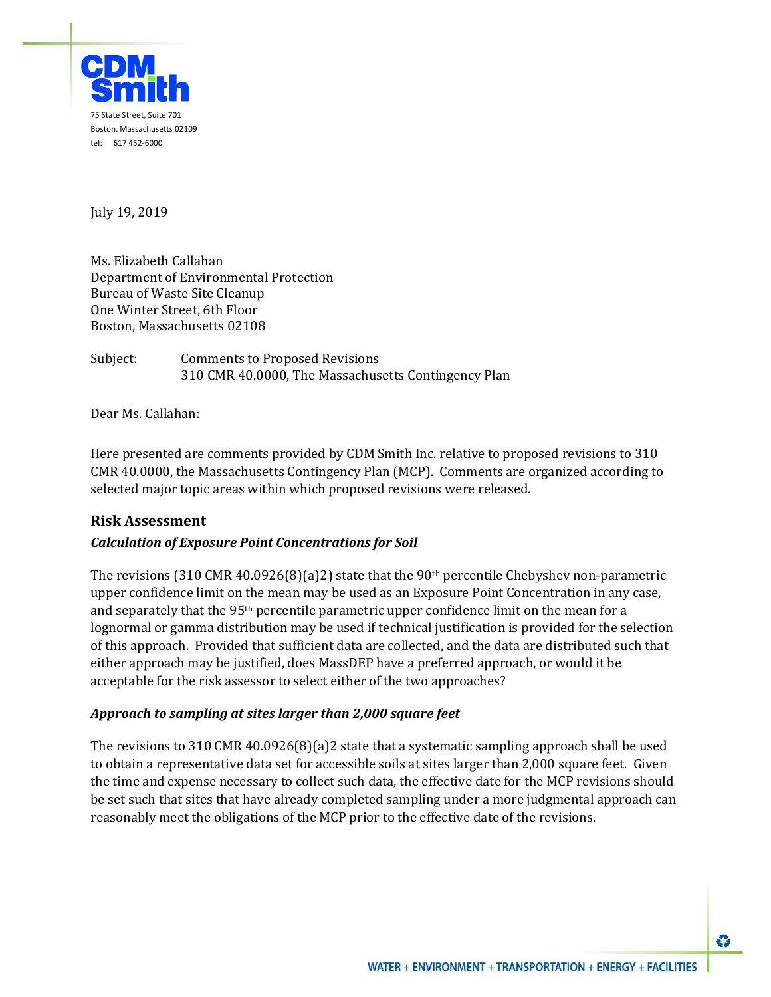

July 19, 2019

Ms. Elizabeth Callahan Department of Environmental Protection Bureau of Waste Site Cleanup One Winter Street, 6th Floor Boston, Massachusetts 02108

Subject: Comments to Proposed Revisions 310 CMR 40.0000, The Massachusetts Contingency Plan

Dear Ms. Callahan:

Here presented are comments provided by CDM Smith Inc. relative to proposed revisions to 310 CMR 40.0000, the Massachusetts Contingency Plan (MCP). Comments are organized according to selected major topic areas within which proposed revisions were released.

## **Risk Assessment**

## *Calculation of Exposure Point Concentrations for Soil*

The revisions (310 CMR 40.0926(8)(a)2) state that the 90<sup>th</sup> percentile Chebyshev non-parametric upper confidence limit on the mean may be used as an Exposure Point Concentration in any case, and separately that the 95<sup>th</sup> percentile parametric upper confidence limit on the mean for a lognormal or gamma distribution may be used if technical justification is provided for the selection of this approach. Provided that sufficient data are collected, and the data are distributed such that either approach may be justified, does MassDEP have a preferred approach, or would it be acceptable for the risk assessor to select either of the two approaches?

## *Approach to sampling at sites larger than 2,000 square feet*

The revisions to 310 CMR 40.0926(8)(a)2 state that a systematic sampling approach shall be used to obtain a representative data set for accessible soils at sites larger than 2,000 square feet. Given the time and expense necessary to collect such data, the effective date for the MCP revisions should be set such that sites that have already completed sampling under a more judgmental approach can reasonably meet the obligations of the MCP prior to the effective date of the revisions.

Û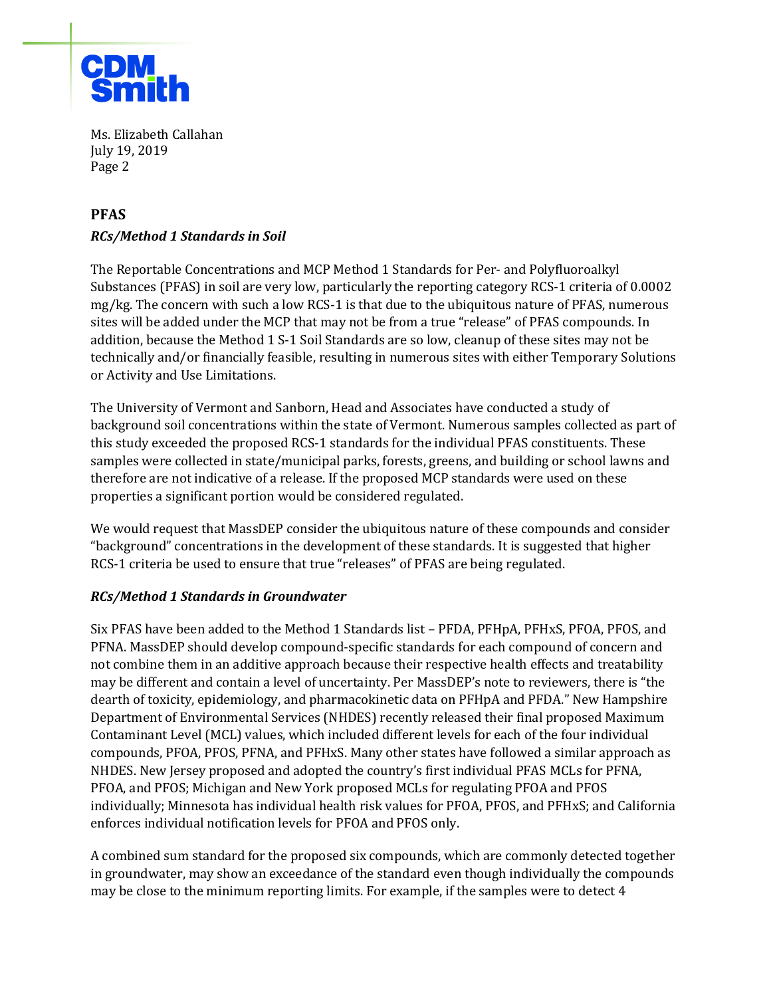

Ms. Elizabeth Callahan July 19, 2019 Page 2

# **PFAS**

## *RCs/Method 1 Standards in Soil*

The Reportable Concentrations and MCP Method 1 Standards for Per- and Polyfluoroalkyl Substances (PFAS) in soil are very low, particularly the reporting category RCS-1 criteria of 0.0002 mg/kg. The concern with such a low RCS-1 is that due to the ubiquitous nature of PFAS, numerous sites will be added under the MCP that may not be from a true "release" of PFAS compounds. In addition, because the Method 1 S-1 Soil Standards are so low, cleanup of these sites may not be technically and/or financially feasible, resulting in numerous sites with either Temporary Solutions or Activity and Use Limitations.

The University of Vermont and Sanborn, Head and Associates have conducted a study of background soil concentrations within the state of Vermont. Numerous samples collected as part of this study exceeded the proposed RCS-1 standards for the individual PFAS constituents. These samples were collected in state/municipal parks, forests, greens, and building or school lawns and therefore are not indicative of a release. If the proposed MCP standards were used on these properties a significant portion would be considered regulated.

We would request that MassDEP consider the ubiquitous nature of these compounds and consider "background" concentrations in the development of these standards. It is suggested that higher RCS-1 criteria be used to ensure that true "releases" of PFAS are being regulated.

## *RCs/Method 1 Standards in Groundwater*

Six PFAS have been added to the Method 1 Standards list – PFDA, PFHpA, PFHxS, PFOA, PFOS, and PFNA. MassDEP should develop compound-specific standards for each compound of concern and not combine them in an additive approach because their respective health effects and treatability may be different and contain a level of uncertainty. Per MassDEP's note to reviewers, there is "the dearth of toxicity, epidemiology, and pharmacokinetic data on PFHpA and PFDA." New Hampshire Department of Environmental Services (NHDES) recently released their final proposed Maximum Contaminant Level (MCL) values, which included different levels for each of the four individual compounds, PFOA, PFOS, PFNA, and PFHxS. Many other states have followed a similar approach as NHDES. New Jersey proposed and adopted the country's first individual PFAS MCLs for PFNA, PFOA, and PFOS; Michigan and New York proposed MCLs for regulating PFOA and PFOS individually; Minnesota has individual health risk values for PFOA, PFOS, and PFHxS; and California enforces individual notification levels for PFOA and PFOS only.

A combined sum standard for the proposed six compounds, which are commonly detected together in groundwater, may show an exceedance of the standard even though individually the compounds may be close to the minimum reporting limits. For example, if the samples were to detect 4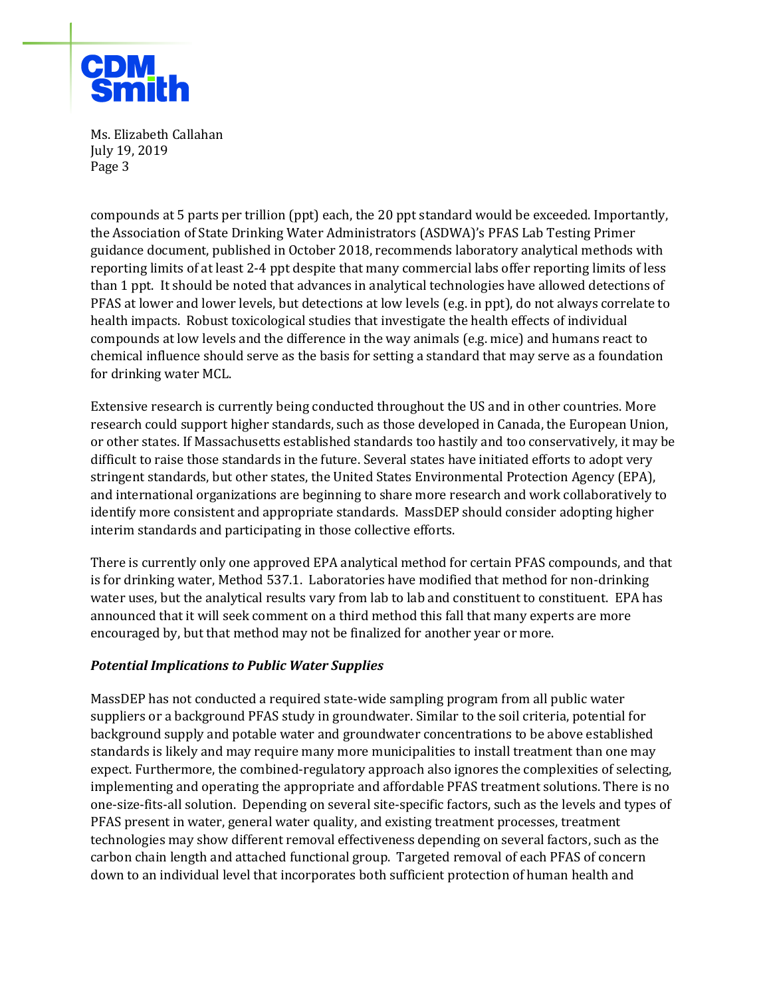

Ms. Elizabeth Callahan July 19, 2019 Page 3

compounds at 5 parts per trillion (ppt) each, the 20 ppt standard would be exceeded. Importantly, the Association of State Drinking Water Administrators (ASDWA)'s PFAS Lab Testing Primer guidance document, published in October 2018, recommends laboratory analytical methods with reporting limits of at least 2-4 ppt despite that many commercial labs offer reporting limits of less than 1 ppt. It should be noted that advances in analytical technologies have allowed detections of PFAS at lower and lower levels, but detections at low levels (e.g. in ppt), do not always correlate to health impacts. Robust toxicological studies that investigate the health effects of individual compounds at low levels and the difference in the way animals (e.g. mice) and humans react to chemical influence should serve as the basis for setting a standard that may serve as a foundation for drinking water MCL.

Extensive research is currently being conducted throughout the US and in other countries. More research could support higher standards, such as those developed in Canada, the European Union, or other states. If Massachusetts established standards too hastily and too conservatively, it may be difficult to raise those standards in the future. Several states have initiated efforts to adopt very stringent standards, but other states, the United States Environmental Protection Agency (EPA), and international organizations are beginning to share more research and work collaboratively to identify more consistent and appropriate standards. MassDEP should consider adopting higher interim standards and participating in those collective efforts.

There is currently only one approved EPA analytical method for certain PFAS compounds, and that is for drinking water, Method 537.1. Laboratories have modified that method for non-drinking water uses, but the analytical results vary from lab to lab and constituent to constituent. EPA has announced that it will seek comment on a third method this fall that many experts are more encouraged by, but that method may not be finalized for another year or more.

## *Potential Implications to Public Water Supplies*

MassDEP has not conducted a required state-wide sampling program from all public water suppliers or a background PFAS study in groundwater. Similar to the soil criteria, potential for background supply and potable water and groundwater concentrations to be above established standards is likely and may require many more municipalities to install treatment than one may expect. Furthermore, the combined-regulatory approach also ignores the complexities of selecting, implementing and operating the appropriate and affordable PFAS treatment solutions. There is no one-size-fits-all solution. Depending on several site-specific factors, such as the levels and types of PFAS present in water, general water quality, and existing treatment processes, treatment technologies may show different removal effectiveness depending on several factors, such as the carbon chain length and attached functional group. Targeted removal of each PFAS of concern down to an individual level that incorporates both sufficient protection of human health and